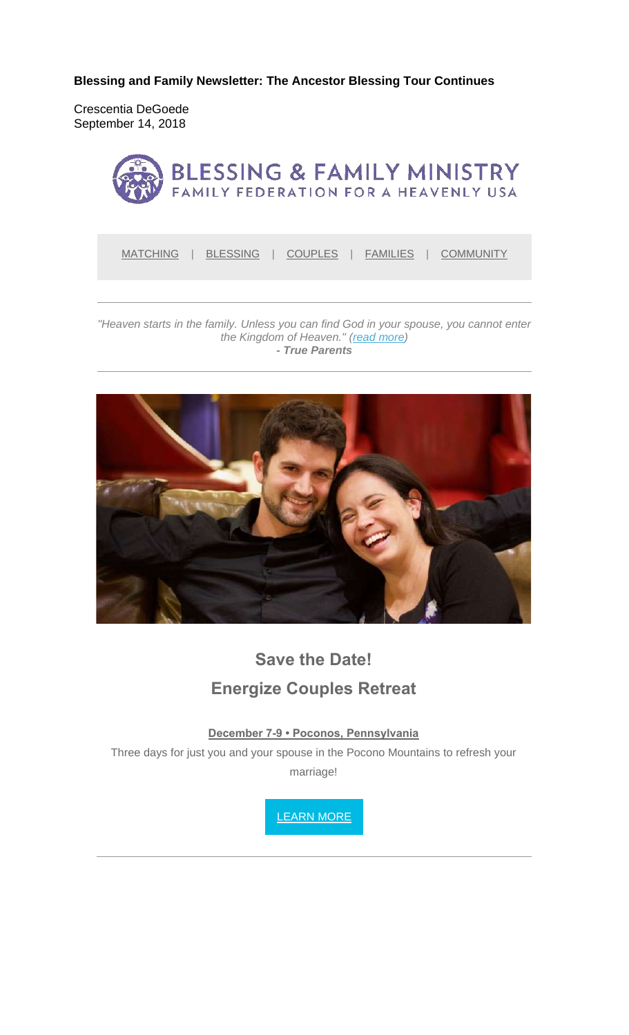**Blessing and Family Newsletter: The Ancestor Blessing Tour Continues** 

Crescentia DeGoede September 14, 2018



MATCHING | BLESSING | COUPLES | FAMILIES | COMMUNITY

*"Heaven starts in the family. Unless you can find God in your spouse, you cannot enter the Kingdom of Heaven." (read more) - True Parents*



# **Save the Date! Energize Couples Retreat**

**December 7-9 • Poconos, Pennsylvania**

Three days for just you and your spouse in the Pocono Mountains to refresh your marriage!

LEARN MORE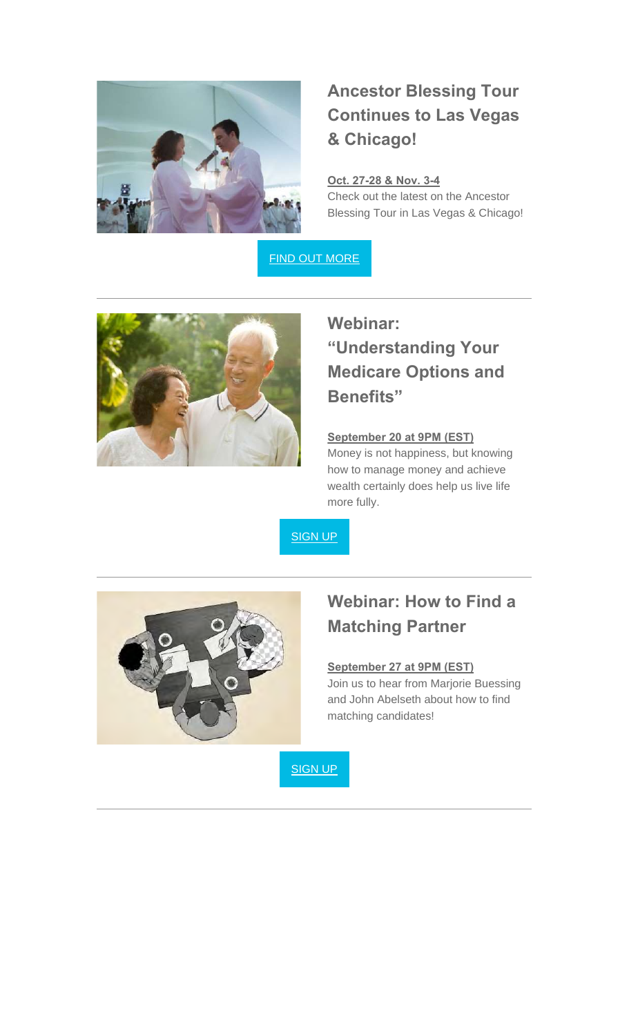

## **Ancestor Blessing Tour Continues to Las Vegas & Chicago!**

### **Oct. 27-28 & Nov. 3-4**

Check out the latest on the Ancestor Blessing Tour in Las Vegas & Chicago!

FIND OUT MORE



## **Webinar: "Understanding Your Medicare Options and Benefits"**

### **September 20 at 9PM (EST)**

Money is not happiness, but knowing how to manage money and achieve wealth certainly does help us live life more fully.

SIGN UP



### **Webinar: How to Find a Matching Partner**

### **September 27 at 9PM (EST)**

Join us to hear from Marjorie Buessing and John Abelseth about how to find matching candidates!